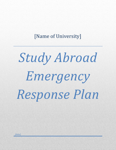# [Name of University]

# *Study Abroad Emergency Response Plan*

*[date]*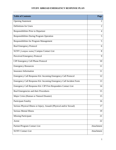# **STUDY ABROAD EMERGENCY RESPONSE PLAN**

| <b>Table of Contents</b>                                             | Page           |
|----------------------------------------------------------------------|----------------|
| <b>Opening Statement</b>                                             | $\overline{2}$ |
| Definitions for Users                                                | $\overline{2}$ |
| Responsibilities Prior to Departure                                  | 4              |
| <b>Responsibilities During Program Operation</b>                     | 5              |
| <b>Responsibilities for Program Management</b>                       | 5              |
| <b>Real Emergency Protocol</b>                                       | 6              |
| SUNY [campus name] Campus Contact List                               | 8              |
| Perceived Emergency Protocol                                         | 9              |
| <b>CIP Emergency Cell Phone Protocol</b>                             | 10             |
| <b>Emergency Resources</b>                                           | 11             |
| <b>Insurance Information</b>                                         | 11             |
| Emergency Call Response Kit: Incoming Emergency Call Protocol        | 12             |
| Emergency Call Response Kit: Incoming Emergency Call Incident Form   | 13             |
| Emergency Call Response Kit: CIP First Responders Contact List       | 14             |
| Real Emergencies and their Procedures                                | 15             |
| Major Crisis (Human or Natural Disaster)                             | 15             |
| <b>Participant Fatality</b>                                          | 16             |
| Serious Physical Illness or Injury; Assault (Physical and/or Sexual) | 17             |
| <b>Serious Mental Illness</b>                                        | 19             |
| <b>Missing Participant</b>                                           | 21             |
| Arrest                                                               | 22             |
| Partner/Program Contact List                                         | Attachment     |
| <b>SUNY Contact List</b>                                             | Attachment     |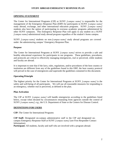#### **OPENING STATEMENT**

The Center for International Programs (CIP) at SUNY *[campus name]* is responsible for the management of the Emergency Response Plan (ERP) for participants in SUNY *[campus name]* study abroad, exchange, and other international education programs. SUNY *[campus name]* students also have the option of participating in overseas academic programs administered by other SUNY campuses. This Emergency Response Plan will apply to any student on a SUNY *[campus name]*-administered study abroad program regardless of the student's home campus.

SUNY *[campus name]* students on non-*[campus name]* study abroad programs are covered under the administering campus' Emergency Response Plan.

#### **Purpose**

The Center for International Programs at SUNY *[campus name]* strives to provide a safe and healthy educational experience for participants in our programs. These guidelines, procedures, and protocols are critical to effectively managing emergencies, real or perceived, while students and faculty are abroad.

It is important to note that if the laws, rules, regulations, and/or procedures of the host country or institution are different from any of the guidelines found in this ERP, the host country protocol will prevail in the case of emergencies and supersede the guidelines contained in this document.

#### **Operating Principle**

The highest priority for the Center for International Programs at SUNY *[campus name]* is the safety and well-being of all participants. We will use all reasonable measures for responding to an emergency, whether real or perceived, as defined in the plan.

#### **Plan Activation**

The CIP at SUNY *[campus name]* will handle emergencies according to the guidelines listed below, except when dictated by circumstances emanating from agencies outside the control of SUNY *[campus name]*, e.g., the U.S. Department of State or the Centers for Disease Control.

#### **DEFINITIONS FOR USERS**

**CIP:** The Center for International Programs

**CIP Staff:** Designated on-campus administrative staff in the CIP and designated oncampus Emergency Response Staff at SUNY *[campus name]* (see First Responder Contact Information).

**Participant:** All students, faculty and staff who are involved with a program abroad.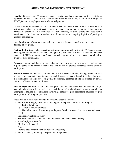**Faculty Director**: SUNY *[campus name]* faculty member appointed as the institutional representative whose function is to oversee and direct the day-to-day operation of a designated SUNY *[campus name]*-sponsored study abroad program.

**Overseas Staff**: Individuals such as a resident director or international office staff who act as an institutional liaison in multifaceted ways to operate programs, including duties such as participant placement in dormitories or local housing, cultural excursions, host family recruitment, crisis intervention and/or other duties related to on-going logistics of participant needs in host country.

**Host Institution:** Overseas organization that assists *[campus name]* with the on-site delivery of programs.

**Partner Institution:** Higher education institution overseas with which SUNY *[campus name]* has a signed Memorandum of Understanding (MOU) or Exchange Student Agreement to oversee students of SUNY *[campus name]* study abroad programs either as exchange, individual, or group program participants.

**Procedure:** A protocol that is followed when an emergency, whether real or perceived, happens to participants while abroad to reduce the level of risk or provide assistance for the safety of participants.

**Mental illnesses** are medical conditions that disrupt a person's thinking, feeling, mood, ability to relate to others and daily functioning.…mental illnesses are medical conditions that often result in a diminished capacity for coping with the ordinary demands of life, as defined by NAMI (National Alliance on Mental Illness).

**Real Emergencies** are those situations that pose a genuine and sometimes immediate risk to, or have already disturbed, the safety and well-being of study abroad program participants. Emergencies include those situations involving a single program participant, multiple program participants, or all program participants.

*These include but are not limited to the following specific situations:*

- Major Alert Category: Situations affecting multiple participants or entire program
	- o Political/civil unrest
	- o Terrorist activity or threat
	- o Natural or human disaster (e.g. earthquake, flood, hurricane, fire, or nuclear incident)
- Death
- Serious physical illness/injury
- Serious mental illness(including attempted suicide, mental health issues)
- Assault (physical/sexual)
- $\bullet$  Missing participant(s)
- Arrest
- Incapacitated Program Faculty/Resident Director(s)
- Major accidents, involving transportation or equipment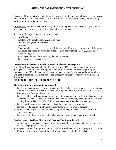**Perceived Emergencies** are situations that are not life-threatening, although it does cause concern, stress, and inconvenience in the life of the program participants, multiple program participants, or all program participants.

Do note that, in some cases, particularly those involving substance abuse, it is possible for a perceived emergency to become a life-threatening real emergency.

*Some examples of perceived emergencies include:* 

- Lost/Stolen passport
- Problems with travel documents, such as visas
- Pick-pocketing/robbery/burglary
- Sickness
- Non-compliance issues that do not result in harm to self or others but may include behavior that could jeopardize the reputation of the program and/or that of SUNY *[campus name]*
- Alcohol/Drug Abuse
- Judiciary/Violations of Campus Regulations Infractions
- Transportation delays and strikes

#### **Determination whether or not the reported incident is an emergency**

The CIP staff member responding to the emergency at SUNY *[campus name]* will begin management of the incident. Through consultation with the on-site person reporting the emergency, the CIP staff member will make an assessment of the situation, based on all the available information. The definition of the emergency as "real" or "perceived" will guide in this decision.

#### **RESPONSIBILITES PRIOR TO DEPARTURE**

#### **The Center for International Programs will:**

- Provide mandatory pre-departure orientation that includes topics such as: Expectations; Cultural Adjustment; Academic Adjustment; Budgeting; Health, Safety and the Law Abroad; Insurance; and Emergencies Abroad.
- Provide students with additional study abroad information through their application in the 'Learning Content' section. This information includes mandatory readings, on-line cultural training through *What's Up With Culture?* and assessments based on the readings.
- Provide participants with emergency cards and relevant emergency numbers
- Provide faculty leaders with training in emergency protocols prior to departure.
- Provide faculty leaders with student passport copies, relevant health information and emergency contacts
- Provide Faculty Leaders with health and emergency insurance coverage while abroad.

#### **Faculty Leader, Resident Director and Partner/Host Institution will:**

- Submit on-site emergency contact information, complete itinerary, and Emergency Action Plan for the program to the CIP.
- Register on-line through the Smart Traveler Enrollment Program using the US State Department website and submit the confirmation page (Faculty Leader only).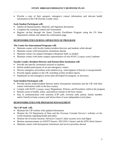• Provide a copy of their passport, emergency contact information and relevant health information to the CIP (Faculty Leader only).

# **Each Student Participant will:**

- Submit all Questionnaires, Material, and Signature documents.
- Complete the Learning Content and Assessment.
- Register on-line through the Smart Traveler Enrollment Program using the US State Department website and submit the confirmation page

# **RESPONSIBILITIES DURING OPERATION OF PROGRAM**

#### **The Center for International Programs will:**

- Maintain contact with faculty leaders/resident directors and students while abroad
- Maintain contact with host/partner institutions abroad
- Maintain contact on-campus Emergency Response Staff, as needed
- Maintain contact with home campus representative of non-SUNY *[campus name]* students

# **Faculty Leader, Resident Director and Partner/Host Institution will:**

- Provide site-specific orientation sessions to students.
- Inform student participants of on-site emergency contact
- Discuss emergency procedures with students (e.g., what happens if director is incapacitated).
- Provide regular updates to the CIP, including written incident reports.
- Implement on-site emergency action plan developed for program, as necessary.

# **Each Student Participant will:**

- Provide faculty leader/resident director and/or host/partner institution and the CIP with their contact information while in the host country
- Comply with SUNY *[campus name]* Regulations, Policies, and Procedures while in the program
- Remain aware of health, safety, and political climate in the host country
- Stay in communication with someone (CIP staff, overseas staff, parent, family member and/or friend) in home country and inform them of your independent travel plans.

# **RESPONSIBILITIES FOR PROGRAM MANAGEMENT**

# **The CIP Staff will:**

- Maintain the CIP website with updated information
- Monitor the US Department of State and the Overseas Consular Service's websites on the world situations regarding health and safety
- Monitor the Overseas Security Advisory Council's daily security news and digest
- Monitor announcements on SAFETI listserv, SECUSS-L listserv and the HTH Alerts listserv
- Maintain contact with host/partner institutions and service providers abroad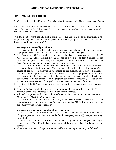# **REAL EMERGENCY PROTOCOL**

For Center for International Program Staff Managing Situation from SUNY *[campus name]* Campus

*In the case of a defined REAL emergency, the CIP staff member who receives the call should contact the Dean of the CIP immediately. If the Dean is unavailable, the next person on the protocol list should be contacted.*

From this point forward, the CIP staff member who began management of the emergency is no longer managing the situation. Management of the emergency is now under the Dean or designated staff member of the CIP.

#### **If the emergency affects all participants**:

- 1. The Dean of the CIP will consult with on-site personnel abroad and other contacts as appropriate to decide what action will be taken in response to the emergency.
- *2.* The Dean of the CIP will notify the necessary administrative positions using the SUNY *[campus name]* Office Contact list. *These positions will be contacted unless, in the reasonable judgment of the Dean, the emergency situation dictates that action be taken immediately without notifying or convening the above persons.*
- 3. The Dean of the CIP will communicate with the program advisor, faculty/resident director and partner/host institutions abroad. This communication will include a description of the course of action to be followed in responding to the program emergency. If possible, participants will be provided with verbal and written instructions appropriate to the situation. The Dean of the CIP may request that the program advisor, faculty/resident director, or partner/host institution abroad have all program participants acknowledge receipt of any written instructions and send the signed acknowledgement to the Dean of the CIP.
- 4. The Dean of the CIP will communicate the event and the response strategy to all pertinent parties.
- 5. Through further consultation with the appropriate administrative offices, the SUNY *[campus name]* crisis response protocol might be implemented.
- 6. All media inquiries to the CIP will be referred to the Director of Communication and Marketing (OCM) at SUNY *[campus name]*.
- 7. The Dean of the CIP will brief all CIP staff, related SUNY *[campus name]* offices, and appropriate offices of guest students from any participating SUNY institution at the next opportunity within regular office hours.

#### **If the emergency is particular to an individual participant:**

- 1. The Dean of the CIP will discuss with on-site personnel how the situation will be handled. The participant will be made aware that the family/emergency contact(s) they provided may be notified.
- 2. The Dean of the CIP or VP for Student Affairs will notify the family/emergency contact(s), as appropriate. The CIP will share information and the response plan with the emergency contacts.
- 3. If the situation warrants, the procedures applicable to an entire program may be followed.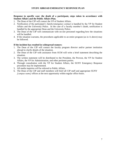#### **Response in specific case: the death of a participant, steps taken in accordance with Student Affairs and the Public Affairs Plan.**

- 1. The Dean of the CIP will contact the VP of Student Affairs.
- 2. Notification of the participant's family/emergency contact is handled by the VP for Student Affairs and the University Police. In the case of a faculty member's death, notification is handled by the appropriate Dean and the University Police.
- 3. The Dean of the CIP will communicate with on-site personnel regarding how the situations will be handled.
- 4. If the situation warrants, the procedures applicable to an entire program (as in A above) may be followed.

#### **If the incident has resulted in widespread rumors:**

- 1. The Dean of the CIP will contact the faculty program director and/or partner institution abroad to clarify details of the situation.
- 2. The Dean of the CIP with assistance from OCM will write a brief statement describing the situation.
- 3. The written statement will be distributed to the President, the Provost, the VP for Student Affairs, the VP for Administration, and other pertinent parties.
- 4. Through consultation with the VP for Student Affairs, the SUNY Emergency Response procedure may be implemented.
- 5. All media inquiries will be referred to Public Affairs.
- 6. The Dean of the CIP and staff members will brief all CIP staff and appropriate SUNY *[campus name]* offices at the next opportunity within regular office hours.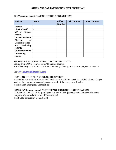#### **SUNY** *[campus name]* **CAMPUS OFFICE CONTACT LIST**

| <b>Position</b>              | <b>Name</b> | <b>Office</b><br><b>Number</b> | <b>Cell Number</b> | <b>Home Number</b> |
|------------------------------|-------------|--------------------------------|--------------------|--------------------|
| <b>Provost</b>               |             |                                |                    |                    |
| <b>Chief of Staff</b>        | t           |                                |                    |                    |
| VP of Student                |             |                                |                    |                    |
| <b>Affairs</b>               |             |                                |                    |                    |
| <b>Dean of Students</b>      |             |                                |                    |                    |
| <b>of</b><br><b>Director</b> |             |                                |                    |                    |
| <b>Communication</b>         |             |                                |                    |                    |
| <b>Marketing</b><br>and      |             |                                |                    |                    |
| (OCM)                        |             |                                |                    |                    |
| <b>University Police</b>     |             |                                |                    |                    |
| <b>Counseling</b>            |             |                                |                    |                    |
| <b>Center</b>                |             |                                |                    |                    |

#### **MAKING AN INTERNATIONAL CALL FROM THE US:**

Dialing from SUNY *[contact name]* to another country:  $9-011$  + country code + area code + local number (If dialing from off-campus, start with 011)

See [www.countrycallingcodes.com](http://www.countrycallingcodes.com/)

#### **HOST COUNTRY PROTOCOL NOTIFICATION**

In addition, the resident director and host/partner institution must be notified of any changes made to the program or its participants as a result of the emergency situation. (See Program Emergency Contact List)

#### **NON-SUNY [campus name] PARTICIPANT PROTOCOL NOTIFICATION**

IMPORTANT NOTE: If the participant is a non-SUNY [campus name} student, the home campus study abroad officer should be contacted. (See SUNY Emergency Contact List)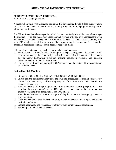# **PERCEIVED EMERGENCY PROTOCOL**

For CIP Staff Managing Situation

A perceived emergency is a situation that is not life-threatening, though it does cause concern, stress, and inconvenience in the life of the program participant, multiple program participants, or all program participants.

The CIP staff member who accepts the call will contact the Study Abroad Advisor who manages the program. The designated CIP Study Abroad Advisor will take over management of the incident will continue to manage the situation until it is resolved. The Dean and other key staff at the CIP should be notified at the next available opportunity during regular office hours, but immediate notification within 24 hours does not need to be made.

If the incident is not an emergency, but requires advice and management:

- 1. The designated CIP staff member in charge who began management of the incident will continue to manage the situation by staying in contact with the faculty leader, resident director and/or host/partner institution, making appropriate referrals, and gathering information helpful to the situation at hand.
- 2. During regular office hours, appropriate CIP resources may be contacted for consultation or direct involvement.

#### **Protocol for Staff Members**

- 1. Fill out an INCOMING EMERGENCY RESPONSE INCIDENT FORM
- 2. Ensure that the participant understands the laws and procedures for dealing with property crimes in the host country and how they may vary from those in the USA. Consult local resources if necessary.
- 3. Assist the participant in reporting the crime to local authorities and (if passport, green card, or other documents stolen) to the US embassy or consulate and/or home country embassy/consulate if the participants is not a US citizen.
- 4. After the student has contacted CIP inquire if they have contacted emergency contact to report situation.
- 5. If the incident took place in host university-owned residence or on campus, notify host institution authorities.
- 6. Provide information and reassurance to other program participants, as appropriate.
- 7. Follow-up with the student as needed.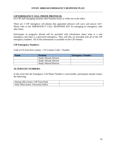# **CIP EMERGENCY CELL PHONE PROTOCOL**

For CIP staff managing situation after business hours or while not in the office

There are 3 CIP emergency cell phones that appointed advisors will carry and answer 24/7. Please refer to the EMERGENCY CALL RESPONSE KIT for managing an emergency calls after hours.

Participants in programs abroad will be provided with information about what is a real emergency and what is a perceived emergency. They will also we provided with all of the CIP emergency numbers. All of this information is available on the CIP website.

#### **CIP Emergency Numbers:**

Code to US from host country + US Country Code + Number

| <b>Name</b> | <b>Position</b>              | <b>Emergency Number</b> |
|-------------|------------------------------|-------------------------|
|             | <b>Study Abroad Advisor</b>  |                         |
|             | <b>Study Abroad Advisor</b>  |                         |
|             | <b>Study Abroad Director</b> |                         |

#### **ALTERNATE NUMBERS:**

In the event that the Emergency Cell Phone Number is inaccessible, participants should contact the following:

| During office hours: CIP Front Desk   |  |
|---------------------------------------|--|
| After office hours: University Police |  |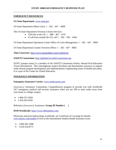#### **EMERGENCY RESOURCES**

#### **US State Department**: [www.state.gov](http://www.state.gov/)

US State Department (Main Line):  $1 - 202 - 647 - 4000$ 

The US State Department Overseas Citizen Services:

- Toll-free in the US,  $1 888 407 4747$
- If call from outside the US, call  $1 202 502 4444$

US State Department Operations Center Office of Crisis Management: 1 – 202 – 647 – 0900

US State Department Counter-Terrorist Office: 1 – 202 – 647 – 9892

**Time Convertor:** <http://www.timeanddate.com/worldclock/>

#### **SAFETI Consortium:** <http://globaled.us/safeti/consortium.asp>

SUNY [campus name] is a member of the SAFETI Consortium (Safety Abroad First-Education Travel Information). This clearinghouse project develops and disseminates resources to support study abroad program development and implementation, emphasizing issues of health and safety. It is a part of the Center for Global Education.

#### **INSURANCE INFORMATION**

#### **Emergency Insurance Carrier**: [www.medexassist.com](http://www.medexassist.com/)

*[insurance]* Assistance Corporation: Comprehensive program to provide you with worldwide 24/7 emergency medical and security assistance when you are 100 or more miles away from your home or college campus.

- 1-800-537-2029
- $\bullet$  1-410-453-6330

#### Reference *[insurance]* Assistance: **Group ID Number [ ]**

#### **HTH Worldwide:** <https://www.hthstudents.com/>

Physicians and prescription drugs worldwide, see Certificate of Coverage for details: [www.haylor.com/student](http://www.haylor.com/student) (Click on the International Student Health Insurance Icon)

- $-1-866-281-1688$
- $-1-610-254-8771$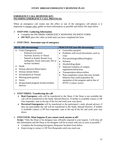# **EMERGENCY CALL RESPONSE KIT: INCOMING EMERGENCY CALL PROTOCOL**

When an emergency call comes into the office or one of the emergency cell phones is it important to remain calm, gather as much information as possible and follow the steps below.

### **STEP ONE: Gathering Information**

- Complete the INCOMING EMERGENCY RESPONSE INCIDENT FORM
- **DO NOT** place the caller on hold until you have completed the form

#### **STEP TWO: Determine type of emergency**

| <b>REAL</b> (life-threatening)                                                                                                                                                                                                                                                                                                                                                  | <b>PERCEIVED</b> (non-life-threatening)                                                                                                                                                                                                                                                                                                                                                                                                                                    |  |  |
|---------------------------------------------------------------------------------------------------------------------------------------------------------------------------------------------------------------------------------------------------------------------------------------------------------------------------------------------------------------------------------|----------------------------------------------------------------------------------------------------------------------------------------------------------------------------------------------------------------------------------------------------------------------------------------------------------------------------------------------------------------------------------------------------------------------------------------------------------------------------|--|--|
| Crisis Emergencies<br>Political/civil unrest<br><b>Terrorist Activity or Threat</b><br>Natural or human disaster (e.g.<br>earthquake, flood, hurricane, fire or<br>nuclear incident)<br>Death<br>Serious physical illness/injury<br>Serious mental illness<br>Sexual/physical Assault<br>Missing participant(s)<br>Arrest<br>Incapacitated program faculty/resident<br>director | Lost/stolen passport<br>Problems with travel documents, such as<br>visas<br>Pick-pocketing/robbery/burglary<br>$\bullet$<br><b>Sickness</b><br>$\bullet$<br>Alcohol/drug abuse<br>$\bullet$<br>Judiciary/violation of campus<br>$\bullet$<br>regulations/infractions<br>Transportation delays/strikes<br>٠<br>Non-compliance issues that may include<br>$\bullet$<br>behavior that could jeopardize the<br>reputation of the program and/or that of<br>SUNY [campus name]. |  |  |

#### **STEP THREE: Transferring the call**

- **Real Emergency** calls will be transferred to the Dean; if the Dean is not available the call will be transferred to the Study Abroad Director. If neither is available contact a CIP first responder, start at the top of the list and work your way down.
- **Perceived Emergencies** will be transferred to the participant's study abroad advisor; if they are unavailable the call will be transferred to the Study Abroad Director. If neither is available contact a CIP first responder, start at the top of the list and work your way down.

#### **STEP FOUR: What happens if you cannot reach anyone at all?**

**Script:** "Only the Dean or his designee may officially respond to your inquiry. I will relay all this information and the Dean or his designee will be in touch with you as soon as possible."

- Complete the Incoming Emergency Response Incident Form below
- Keep trying to contact a CIP First Responder until you reach one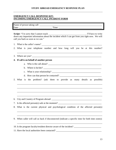# **EMERGENCY CALL RESPONSE KIT: INCOMING EMERGENCY CALL INCIDENT FORM**

|    | call you back as soon as we can."                                                                                                                                                                                                                                                                           |  |  |  |  |  |
|----|-------------------------------------------------------------------------------------------------------------------------------------------------------------------------------------------------------------------------------------------------------------------------------------------------------------|--|--|--|--|--|
|    |                                                                                                                                                                                                                                                                                                             |  |  |  |  |  |
|    | 2. What is your telephone number and how long will you be at this number?                                                                                                                                                                                                                                   |  |  |  |  |  |
|    | ,我们也不会有什么。""我们的人,我们也不会有什么?""我们的人,我们也不会有什么?""我们的人,我们也不会有什么?""我们的人,我们也不会有什么?""我们的人<br>3. Where are you?                                                                                                                                                                                                       |  |  |  |  |  |
| 4. | If call is on behalf of another person                                                                                                                                                                                                                                                                      |  |  |  |  |  |
|    |                                                                                                                                                                                                                                                                                                             |  |  |  |  |  |
|    | b. Where is he/she? $\frac{1}{2}$ $\frac{1}{2}$ $\frac{1}{2}$ $\frac{1}{2}$ $\frac{1}{2}$ $\frac{1}{2}$ $\frac{1}{2}$ $\frac{1}{2}$ $\frac{1}{2}$ $\frac{1}{2}$ $\frac{1}{2}$ $\frac{1}{2}$ $\frac{1}{2}$ $\frac{1}{2}$ $\frac{1}{2}$ $\frac{1}{2}$ $\frac{1}{2}$ $\frac{1}{2}$ $\frac{1}{2}$ $\frac{1}{2}$ |  |  |  |  |  |
|    |                                                                                                                                                                                                                                                                                                             |  |  |  |  |  |
|    |                                                                                                                                                                                                                                                                                                             |  |  |  |  |  |
| 5. | is the problem? (ask them to provide as many details as possible)<br>What                                                                                                                                                                                                                                   |  |  |  |  |  |
| 6. | ,我们也不能在这里的时候,我们也不能在这里的时候,我们也不能会在这里的时候,我们也不能会在这里的时候,我们也不能会在这里的时候,我们也不能会在这里的时候,我们也不                                                                                                                                                                                                                           |  |  |  |  |  |
| 9. | 8. What is the current physical and psychological condition of the affected person(s)<br>When caller will call us back if disconnected (indicate a specific time for both time zones):                                                                                                                      |  |  |  |  |  |
|    | 10. Is the program faculty/resident director aware of the incident?                                                                                                                                                                                                                                         |  |  |  |  |  |

11. Have the local authorities been contacted? \_\_\_\_\_\_\_\_\_\_\_\_\_\_\_\_\_\_\_\_\_\_\_\_\_\_\_\_\_\_\_\_\_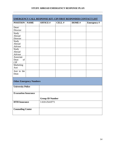| <b>EMERGENCY CALL RESPONSE KIT: CIP FIRST RESPONDER CONTACT LIST</b> |                          |                        |       |       |                    |  |
|----------------------------------------------------------------------|--------------------------|------------------------|-------|-------|--------------------|--|
| <b>POSITION</b>                                                      | <b>NAME</b>              | <b>OFFICE#</b>         | CELL# | HOME# | <b>Emergency</b> # |  |
| Dean/<br>Director                                                    |                          |                        |       |       |                    |  |
| Study<br>Abroad<br>Director                                          |                          |                        |       |       |                    |  |
| Study<br>Abroad<br>Advisor                                           |                          |                        |       |       |                    |  |
| Study<br>Abroad<br>Advisor                                           |                          |                        |       |       |                    |  |
| Associate<br>of<br>Dean<br>CIP                                       |                          |                        |       |       |                    |  |
| Marketing<br>Asst                                                    |                          |                        |       |       |                    |  |
| Asst to the<br>Dean                                                  |                          |                        |       |       |                    |  |
| <b>Other Emergency Numbers</b>                                       |                          |                        |       |       |                    |  |
|                                                                      | <b>University Police</b> |                        |       |       |                    |  |
| <b>Evacuation Insurance</b>                                          |                          |                        |       |       |                    |  |
|                                                                      |                          | <b>Group ID Number</b> |       |       |                    |  |
| <b>HTH</b> Insurance                                                 |                          | 1-610-254-8771         |       |       |                    |  |
| <b>Counseling Center</b>                                             |                          |                        |       |       |                    |  |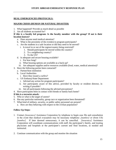### **REAL EMERGENCIES PROTOCOLS:**

#### **MAJOR CRISIS (HUMAN OR NATURAL DISASTER)**

- 1. What happened? Provide as much detail as possible
- 2. Are all students accounted for?

#### **If this is a faculty led program: Is the faculty member with the group? If not is their location known?**

- a. Does anyone need medical attention?
- b. What is the proximity of the event(s) to program participants?
- c. Are the students in a safe location or did they need to be moved?
	- i. Is travel in or out of the region/country being restricted?
		- 1. Should participants be moved within the country?
		- 2. To a neighboring country?
		- 3. To the US?
- d. Is adequate and secure housing available?
	- i. For how long?
	- ii. What housing options are available as a back-up?
	- iii. Are adequate supplies and/or resources available (food, water, medical attention)?
- 3. Have the following parties been contacted?
	- a. Partner/host institution
		- b. Local Authorities
			- i. Have they issued a curfew?
		- c. US Embassy/State Department
			- i. Advised any action for program participants?
			- ii. Are participants aware of this advice, provided by faculty or resident director, in writing if possible?
			- iii. Are all participants following the advised precautions?
- 4. Have participants been in contact with friends or family back home?

#### **If this is a terrorist attack:**

- 5. Who or what is the target of unrest?
- 6. Has any particular nationality, group race or organization been threatened?
- 7. What kind of military, security, or public safety personnel are present? a. How are they behaving with respect to the civilian population?

#### **Follow-Up Steps:**

- 1. Contact *[insurance]* Assistance Corporation by telephone to begin case file and consultation in the event that medical evacuation may be necessary telephone: *[number]* or (from US) *[number]*. If later deemed unnecessary, it can be cancelled. *[insurance]* Assistance Corporation will coordinate communications with staff, the participant's family, and treating physicians and hospitals at the participant's current and final locations, as needed and **instructed**
- 2. Continue communication with the group and monitor the situation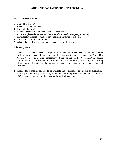# **PARTICIPANT FATALITY**

- 1. Name of deceased?
- 2. When and where did it occur?
- 3. How did it happen?
- 4. Have the participant's emergency contacts been notified?
	- **a. If not, please do not contact them. (Refer to Real Emergency Protocol)**
- 5. Have local authorities or medical personnel been involved at this point?
- 6. Notify host institution authorities.
- 7. What is the physical and emotional status of the rest of the group?

# **Follow–Up Steps:**

- 1. Contact *[insurance]* Assistance Corporation by telephone to begin case file and consultation in the event that medical evacuation may be necessary telephone: *[number]* or (from US) *[number]*. If later deemed unnecessary, it can be cancelled. *[insurance]* Assistance Corporation will coordinate communications with staff, the participant's family, and treating physicians and hospitals at the participant's current and final locations, as needed and instructed.
- 2. Arrange for counseling services to be available and/or accessible to students on program as soon as possible. It may be necessary to provide counseling services to students on campus at SUNY *[campus name]* as well as those at the study abroad site.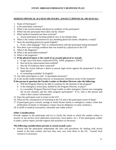# **SERIOUS PHYSICAL ILLNESS OR INJURY, ASSAULT (PHYSICAL OR SEXUAL)**

- 1. Name of Participant?
- 2. Is the participant conscious?
- 3. What is the current mental and physical condition of the participant?
- 4. Where has the participant been taken and by whom?
- 5. What medical treatment has been received?
	- a. Assist participant in locating medical care, if not already done.
- 6. What is the contact information for any attending physician (name, telephone, e-mail)?
- 7. Does the attending physician speak English?
	- a. If not, what language? How is communication with the participant being facilitated?
- 8. Was there a pre-existing condition that was treated by a physician in the US?
- 9. What is the diagnosis?
- 10. What is the prescribed treatment?
- 11. What is the prognosis?

# 12. **If the physical injury is the result of an assault (physical or sexual):**

- a. If rape, have tests been conducted (STDs, AIDS, pregnancy, DNA)?
- b. Has local law enforcement been notified?
- c. Has the US Embassy been contacted?
- d. Does the victim indicate a desire to pursue legal action against the perpetrator? Is this a legal option?
- e. Is counseling available? In English?
- 13. Are other participants at risk? Is quarantine necessary?
- 14. Is the faculty leader/resident director or host/partner institution aware of the situation?

# **If the person in question the Faculty Leader or Resident Director asks the following:**

- a. Will the Program Director be able to continue for the duration of the program?
- b. Is the emergency action plan, drafted by the Program Director, in place?
- c. Is a secondary Program Director/Group Leader or other emergency liaison now managing the on-site situation and the other program participants? If so, who is this person and what is their contact information?
- 15. Does the participant want to return to the US?
- 16. What are the consequences of returning to the US and is the participant aware of them?
- 17. If participant gives consent, arrange to notify his/her family or emergency contact. (Note that notification of family or emergency contact may be obligatory in some countries.)
- 18. Is airlift or medical evacuation a desirable and viable action?

#### **Other Considerations**

Provide support to the participant and try to clarify the extent to which the student wishes to involve or not involve local authorities (university, local police, etc.) If the participants wishes to make a police report, provide support and assistance as necessary.

#### **The following considerations pertain to sexual assault cases:**

 Ensure that the participant understands the laws and procedures for dealing with sexual assault in the host country and how they may vary from those in the US. Consult local resources if necessary.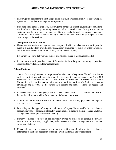- Encourage the participant to visit a rape crisis center, if available locally. If the participant agrees, escort him/her or arrange for transportation.
- If no rape crisis center is available, encourage the participant to seek counseling of some kind and him/her in obtaining counseling services. If no counselor specializing in this area is available locally, you may be able to obtain referrals through *[insurance]* assistance Corporation, or to arrange counseling by telephone or email from the participant's home campus rape crisis services.

#### **If participant declines assistance**

- Please note that national or regional laws may prevail which mandate that the participant be taken to a facility which provides assistance. Escort or arrange for transport of the participant to his/her residence or other safe location (friends' residence, etc.)
- Let participant know that you will contact him/her later to see if assistance is needed.
- Ensure that the participant has contact information for local hospital, counseling, rape crisis resources (as available), and law enforcement.

#### **Follow-Up Steps:**

- 1. Contact *[insurance]* Assistance Corporation by telephone to begin case file and consultation in the event that medical evacuation may be necessary telephone: *[number]* or (from US) *[number]*. If later deemed unnecessary, it can be cancelled. *[insurance]* Assistance Corporation will coordinate communications with staff, the participant's family, and treating physicians and hospitals at the participant's current and final locations, as needed and instructed.
- 2. If needed, arrange for emergency loan to cover student health costs. Contact the Dean of International Programs within 24 hours to notify/ask any questions.
- 3. Monitor the participant's treatment, in consultation with treating physician, and update relevant parties as needed.
- 4. Depending on the type of program and extent of injury/illness, notify the participant's academic advisor or departmental faculty, as applicable, in order to make necessary academic arrangements to complete the course of study.
- 5. If injury or illness took place in host university-owned residence or on campus, notify host institution authorities and, as applicable, make necessary academic arrangements to complete the course of study.
- 6. If medical evacuation is necessary, arrange for packing and shipping of the participant's belongings to the home address in consultation with the family and/or participant.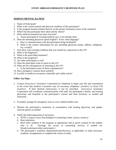# **SERIOUS MENTAL ILLNESS**

- 1. Name of Participant?
- 2. What is the current mental and physical condition of the participant?
- 3. Is the program faculty/resident director at the partner institution aware of the situation?
- 4. Where has the participant been taken and by whom?
- 5. What medical treatment has been received?
	- a. Assist participant in locating medical care, if not already done.
- 6. Does the attending physician speak English? If not, what language?
	- a. How is communication with the participant being facilitated?
	- b. What is the contact information for any attending physician (name, address, telephone, fax, e-mail)?
- 7. Was there a pre-existing condition that was treated by a physician in the US?
- 8. What is the diagnosis?
- 9. What is the prescribed treatment?
- 10. What is the prognosis?
- 11. Are other participants at risk?
- 12. Does the participant want to return to the US?
- 13. What are the consequences of returning to the US?
- a. Is the participant aware of these consequences?
- 14. Have emergency contacts been notified?
- 15. Is airlift or medical evacuation a desirable and viable action?

# **Follow-Up Steps:**

- 1. Contact *[insurance]* Assistance Corporation by telephone to begin case file and consultation in the event that medical evacuation may be necessary telephone: *[number]* or (from US) *[number]*. If later deemed unnecessary, it can be cancelled. *[insurance]* Assistance Corporation will coordinate communications with staff, the participant's family, and treating physicians and hospitals at the participant's current and final locations, as needed and **instructed**
- 2. If needed, arrange for emergency loan to cover student health costs.
- 3. Monitor the participant's treatment, in consultation with treating physician, and update relevant parties as needed.
- 4. Notify the following parties if necessary:
	- a. SUNY *[campus name]* Psychological Counseling Center: *[phone number]*
	- b. Host institution
	- c. Brief other students in the program as appropriate and as given consent by the student who is ill. (Arrange for access to counseling services if needed for friends/roommates/other participants.)
	- d. The participant's academic department(s)/professor(s), as applicable, to make necessary academic arrangements to complete the course of study.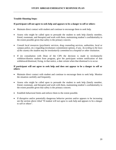#### **Trouble-Shooting Steps:**

#### **If participant will not agree to seek help and appears to be a danger to self or others**:

- Maintain direct contact with student and continue to encourage them to seek help.
- Assess who might be called upon to persuade the student to seek help (family member, friend, roommate, and therapist) and work with them, maintaining student's confidentiality to the extent possible given that safety is the primary concern.
- Consult local resources (psychiatric services, drug counseling services, authorities, local or campus police, etc.) regarding involuntary commitment options, if any. *According to the laws of the country the student may be involuntarily committed to a hospital or other institution.*
- If (in consultation with Dean of the CIP) the decision is made to involuntarily withdraw/dismiss student from program, give the participant written notification of that withdrawal/dismissal, fixing, in that notice, a date certain when that dismissal is to occur.

#### **If participant will not agree to seek help and does not appear to be a danger to self or others**:

- Maintain direct contact with student and continue to encourage them to seek help. Monitor the situation carefully and frequently.
- Assess who might be called upon to persuade the student to seek help (family member, friend, roommate, and therapist) and work with them, maintaining student's confidentiality to the extent possible given that safety is the primary concern.
- Establish behavioral limits and enforce them to the extent possible.
- If disruptive and/or potentially dangerous behavior persists and/or appears to be increasing see the section above titled "If student will not agree to seek help and appears to be a danger to self or others".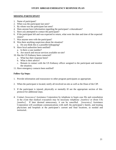# **MISSING PARTICIPANT**

- 1. Name of participant?
- 2. When was the participant last seen?
- 3. By whom was the participant last seen?
- 4. Does anyone have information regarding the participant's whereabouts?
- 5. Have you attempted to contact the participant?
- 6. If the participant left and was expected to return, what were the date and time of the expected return?
- 7. Was anyone seen with the participant?
- 8. Was there anything suspicious about the situation?
	- a. Do you think this is a possible kidnapping?
- 9. Have local authorities been notified?
	- a. Is there a case number?
	- b. Are search and rescue services available on-site?
- 10. Has the US Embassy been contacted?
	- a. What has their response been?
	- b. What is their advice?
	- c. Remain in contact with the US Embassy officer assigned to the participant and monitor the situation.
- 11. Have emergency contacts been notified?

# **Follow-Up Steps:**

- 1. Provide information and reassurance to other program participants as appropriate.
- 2. When the participant is located, notify all involved on-site as well as the Dean of the CIP.
- 3. If the participant is injured, physically or mentally ill see the appropriate section of this protocol for additional steps.
- 4. Contact *[insurance]* Assistance Corporation by telephone to begin case file and consultation in the event that medical evacuation may be necessary telephone: *[number]* or (from US) *[number]*. If later deemed unnecessary, it can be cancelled. *[insurance]* Assistance Corporation will coordinate communications with staff, the participant's family, and treating physicians and hospitals at the participant's current and final locations, as needed and instructed..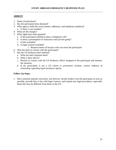# **ARREST**

- 1. Name of participant?
- 2. Has the participant been detained?
- 3. What agency made the arrest (names, addresses, and telephone numbers)? a. Is there a case number?
- 4. What are the charges?
- 5. What rights have been granted?
	- a. Is the participant entitled to place a telephone call?
	- b. Is there a presumption of innocence until proven guilty?
	- c. Is bail available?
	- d. Is legal counsel available?
		- i. Request names of lawyers who can assist the participant
- 6. Who has been in contact with the participant?
- 7. Has the US Embassy been notified?
	- a. What has their response been?
	- b. What is their advice?
	- c. Remain in contact with the US Embassy officer assigned to the participant and monitor the situation.
	- d. *If the participant is not a US citizen or permanent resident, contact embassy of citizenship regarding legal assistance option.*

# **Follow-Up Steps:**

1. Have someone (partner university, site director, faculty leader) visit the participant as soon as possible, provide him or her with legal contacts, and explain any legal procedures, especially those that may be different from those in the US.